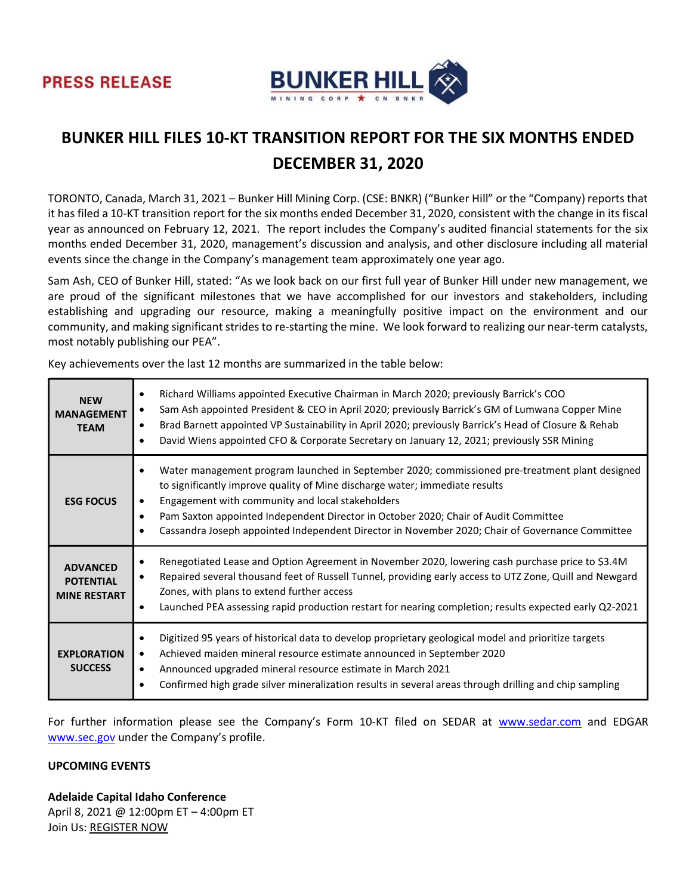



# BUNKER HILL FILES 10-KT TRANSITION REPORT FOR THE SIX MONTHS ENDED DECEMBER 31, 2020

TORONTO, Canada, March 31, 2021 – Bunker Hill Mining Corp. (CSE: BNKR) ("Bunker Hill" or the "Company) reports that it has filed a 10-KT transition report for the six months ended December 31, 2020, consistent with the change in its fiscal year as announced on February 12, 2021. The report includes the Company's audited financial statements for the six months ended December 31, 2020, management's discussion and analysis, and other disclosure including all material events since the change in the Company's management team approximately one year ago.

Sam Ash, CEO of Bunker Hill, stated: "As we look back on our first full year of Bunker Hill under new management, we are proud of the significant milestones that we have accomplished for our investors and stakeholders, including establishing and upgrading our resource, making a meaningfully positive impact on the environment and our community, and making significant strides to re-starting the mine. We look forward to realizing our near-term catalysts, most notably publishing our PEA".

Key achievements over the last 12 months are summarized in the table below:

| <b>NEW</b><br><b>MANAGEMENT</b><br><b>TEAM</b>             | Richard Williams appointed Executive Chairman in March 2020; previously Barrick's COO<br>Sam Ash appointed President & CEO in April 2020; previously Barrick's GM of Lumwana Copper Mine<br>Brad Barnett appointed VP Sustainability in April 2020; previously Barrick's Head of Closure & Rehab<br>David Wiens appointed CFO & Corporate Secretary on January 12, 2021; previously SSR Mining                              |
|------------------------------------------------------------|-----------------------------------------------------------------------------------------------------------------------------------------------------------------------------------------------------------------------------------------------------------------------------------------------------------------------------------------------------------------------------------------------------------------------------|
| <b>ESG FOCUS</b>                                           | Water management program launched in September 2020; commissioned pre-treatment plant designed<br>to significantly improve quality of Mine discharge water; immediate results<br>Engagement with community and local stakeholders<br>Pam Saxton appointed Independent Director in October 2020; Chair of Audit Committee<br>Cassandra Joseph appointed Independent Director in November 2020; Chair of Governance Committee |
| <b>ADVANCED</b><br><b>POTENTIAL</b><br><b>MINE RESTART</b> | Renegotiated Lease and Option Agreement in November 2020, lowering cash purchase price to \$3.4M<br>Repaired several thousand feet of Russell Tunnel, providing early access to UTZ Zone, Quill and Newgard<br>Zones, with plans to extend further access<br>Launched PEA assessing rapid production restart for nearing completion; results expected early Q2-2021                                                         |
| <b>EXPLORATION</b><br><b>SUCCESS</b>                       | Digitized 95 years of historical data to develop proprietary geological model and prioritize targets<br>Achieved maiden mineral resource estimate announced in September 2020<br>Announced upgraded mineral resource estimate in March 2021<br>Confirmed high grade silver mineralization results in several areas through drilling and chip sampling                                                                       |

For further information please see the Company's Form 10-KT filed on SEDAR at www.sedar.com and EDGAR www.sec.gov under the Company's profile.

## UPCOMING EVENTS

Adelaide Capital Idaho Conference April 8, 2021 @ 12:00pm ET – 4:00pm ET Join Us: REGISTER NOW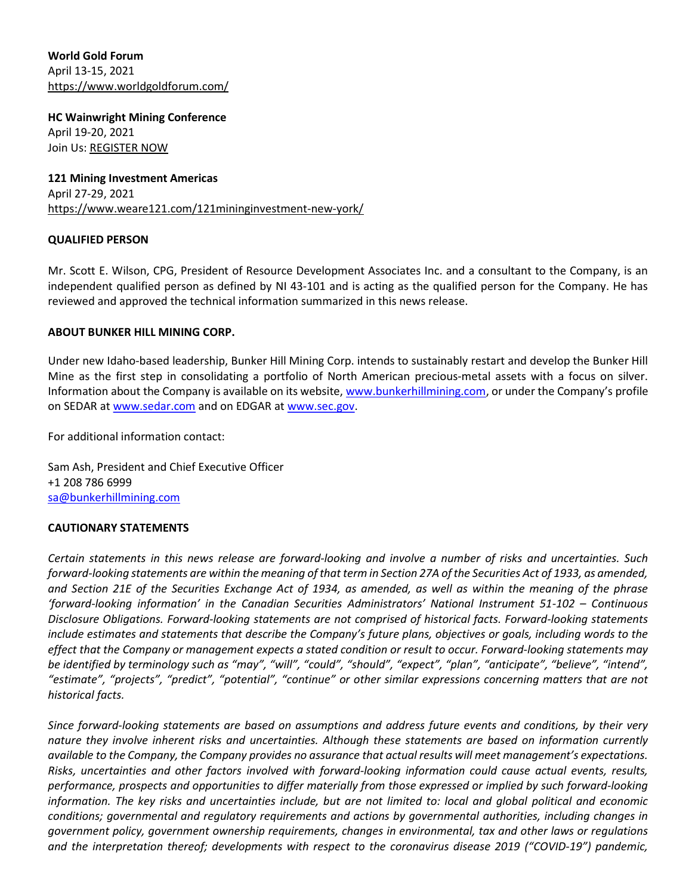World Gold Forum April 13-15, 2021 https://www.worldgoldforum.com/

HC Wainwright Mining Conference April 19-20, 2021 Join Us: REGISTER NOW

121 Mining Investment Americas April 27-29, 2021 https://www.weare121.com/121mininginvestment-new-york/

### QUALIFIED PERSON

Mr. Scott E. Wilson, CPG, President of Resource Development Associates Inc. and a consultant to the Company, is an independent qualified person as defined by NI 43-101 and is acting as the qualified person for the Company. He has reviewed and approved the technical information summarized in this news release.

### ABOUT BUNKER HILL MINING CORP.

Under new Idaho-based leadership, Bunker Hill Mining Corp. intends to sustainably restart and develop the Bunker Hill Mine as the first step in consolidating a portfolio of North American precious-metal assets with a focus on silver. Information about the Company is available on its website, www.bunkerhillmining.com, or under the Company's profile on SEDAR at www.sedar.com and on EDGAR at www.sec.gov.

For additional information contact:

Sam Ash, President and Chief Executive Officer +1 208 786 6999 sa@bunkerhillmining.com

#### CAUTIONARY STATEMENTS

Certain statements in this news release are forward-looking and involve a number of risks and uncertainties. Such forward-looking statements are within the meaning of that term in Section 27A of the Securities Act of 1933, as amended, and Section 21E of the Securities Exchange Act of 1934, as amended, as well as within the meaning of the phrase 'forward-looking information' in the Canadian Securities Administrators' National Instrument 51-102 – Continuous Disclosure Obligations. Forward-looking statements are not comprised of historical facts. Forward-looking statements include estimates and statements that describe the Company's future plans, objectives or goals, including words to the effect that the Company or management expects a stated condition or result to occur. Forward-looking statements may be identified by terminology such as "may", "will", "could", "should", "expect", "plan", "anticipate", "believe", "intend", "estimate", "projects", "predict", "potential", "continue" or other similar expressions concerning matters that are not historical facts.

Since forward-looking statements are based on assumptions and address future events and conditions, by their very nature they involve inherent risks and uncertainties. Although these statements are based on information currently available to the Company, the Company provides no assurance that actual results will meet management's expectations. Risks, uncertainties and other factors involved with forward-looking information could cause actual events, results, performance, prospects and opportunities to differ materially from those expressed or implied by such forward-looking information. The key risks and uncertainties include, but are not limited to: local and global political and economic conditions; governmental and regulatory requirements and actions by governmental authorities, including changes in government policy, government ownership requirements, changes in environmental, tax and other laws or regulations and the interpretation thereof; developments with respect to the coronavirus disease 2019 ("COVID-19") pandemic,